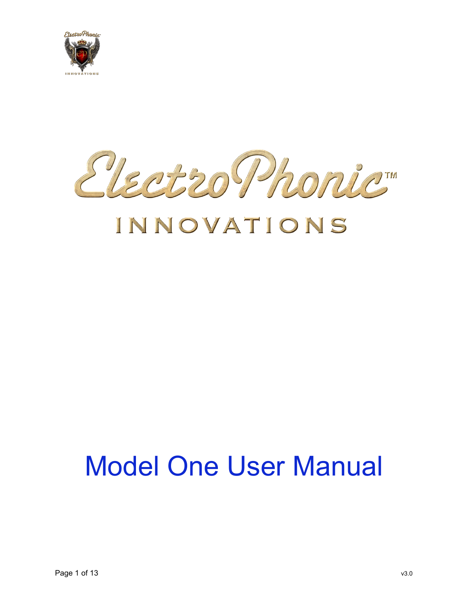



# INNOVATIONS

# Model One User Manual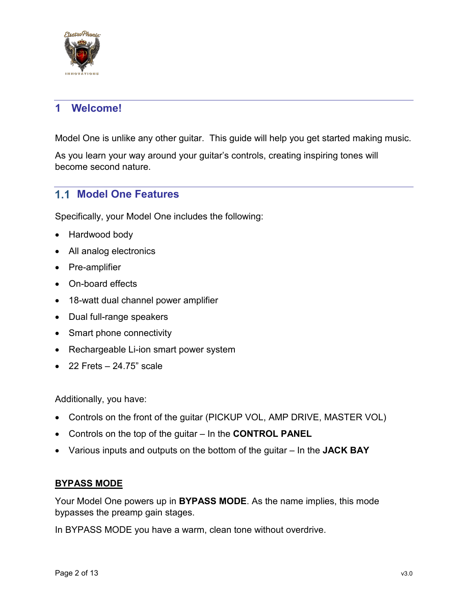

#### **1 Welcome!**

Model One is unlike any other guitar. This guide will help you get started making music.

As you learn your way around your guitar's controls, creating inspiring tones will become second nature.

#### **1.1 Model One Features**

Specifically, your Model One includes the following:

- Hardwood body
- All analog electronics
- Pre-amplifier
- On-board effects
- 18-watt dual channel power amplifier
- Dual full-range speakers
- Smart phone connectivity
- Rechargeable Li-ion smart power system
- 22 Frets 24.75" scale

Additionally, you have:

- Controls on the front of the guitar (PICKUP VOL, AMP DRIVE, MASTER VOL)
- Controls on the top of the guitar In the **CONTROL PANEL**
- Various inputs and outputs on the bottom of the guitar In the **JACK BAY**

#### **BYPASS MODE**

Your Model One powers up in **BYPASS MODE**. As the name implies, this mode bypasses the preamp gain stages.

In BYPASS MODE you have a warm, clean tone without overdrive.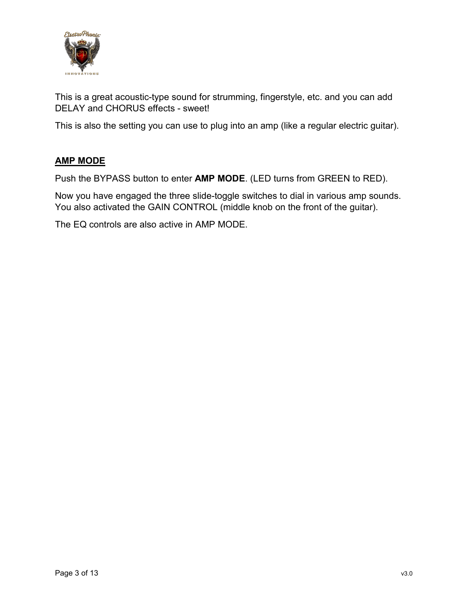

This is a great acoustic-type sound for strumming, fingerstyle, etc. and you can add DELAY and CHORUS effects - sweet!

This is also the setting you can use to plug into an amp (like a regular electric guitar).

#### **AMP MODE**

Push the BYPASS button to enter **AMP MODE**. (LED turns from GREEN to RED).

Now you have engaged the three slide-toggle switches to dial in various amp sounds. You also activated the GAIN CONTROL (middle knob on the front of the guitar).

The EQ controls are also active in AMP MODE.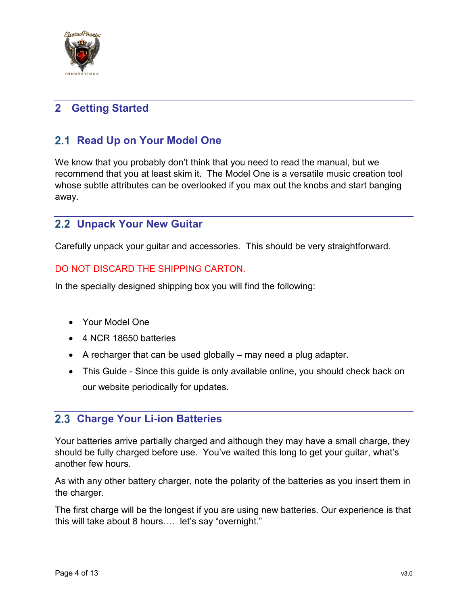

#### **2 Getting Started**

#### **2.1 Read Up on Your Model One**

We know that you probably don't think that you need to read the manual, but we recommend that you at least skim it. The Model One is a versatile music creation tool whose subtle attributes can be overlooked if you max out the knobs and start banging away.

#### **Unpack Your New Guitar**

Carefully unpack your guitar and accessories. This should be very straightforward.

#### DO NOT DISCARD THE SHIPPING CARTON.

In the specially designed shipping box you will find the following:

- Your Model One
- 4 NCR 18650 batteries
- A recharger that can be used globally may need a plug adapter.
- This Guide Since this guide is only available online, you should check back on our website periodically for updates.

#### **Charge Your Li-ion Batteries**

Your batteries arrive partially charged and although they may have a small charge, they should be fully charged before use. You've waited this long to get your guitar, what's another few hours.

As with any other battery charger, note the polarity of the batteries as you insert them in the charger.

The first charge will be the longest if you are using new batteries. Our experience is that this will take about 8 hours…. let's say "overnight."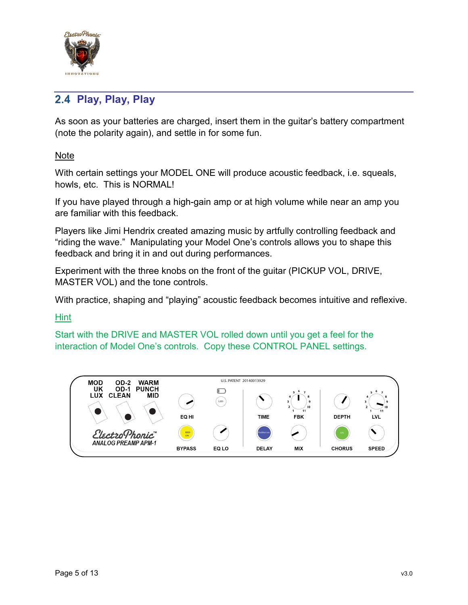

#### **Play, Play, Play**

As soon as your batteries are charged, insert them in the guitar's battery compartment (note the polarity again), and settle in for some fun.

Note

With certain settings your MODEL ONE will produce acoustic feedback, i.e. squeals, howls, etc. This is NORMAL!

If you have played through a high-gain amp or at high volume while near an amp you are familiar with this feedback.

Players like Jimi Hendrix created amazing music by artfully controlling feedback and "riding the wave." Manipulating your Model One's controls allows you to shape this feedback and bring it in and out during performances.

Experiment with the three knobs on the front of the guitar (PICKUP VOL, DRIVE, MASTER VOL) and the tone controls.

With practice, shaping and "playing" acoustic feedback becomes intuitive and reflexive.

Hint

Start with the DRIVE and MASTER VOL rolled down until you get a feel for the interaction of Model One's controls. Copy these CONTROL PANEL settings.

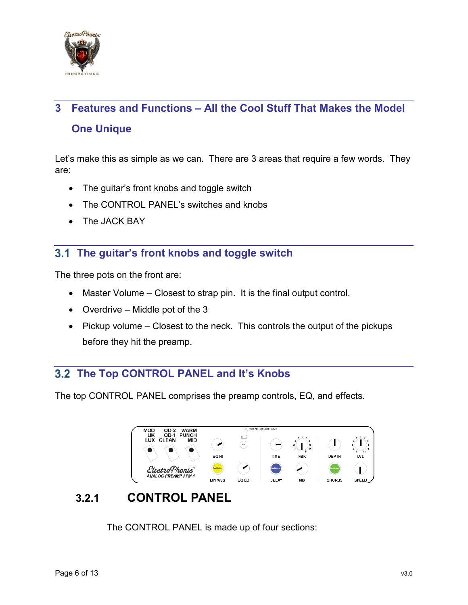

## **3 Features and Functions – All the Cool Stuff That Makes the Model One Unique**

Let's make this as simple as we can. There are 3 areas that require a few words. They are:

- The guitar's front knobs and toggle switch
- The CONTROL PANEL's switches and knobs
- The JACK BAY

#### **The guitar's front knobs and toggle switch**

The three pots on the front are:

- Master Volume Closest to strap pin. It is the final output control.
- Overdrive Middle pot of the 3
- Pickup volume Closest to the neck. This controls the output of the pickups before they hit the preamp.

#### **The Top CONTROL PANEL and It's Knobs**

The top CONTROL PANEL comprises the preamp controls, EQ, and effects.



#### **3.2.1 CONTROL PANEL**

The CONTROL PANEL is made up of four sections: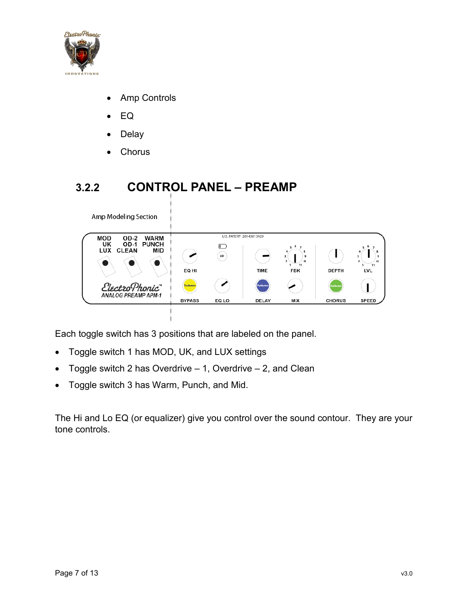

- Amp Controls
- EQ
- Delay
- Chorus

#### **3.2.2 CONTROL PANEL – PREAMP**



Each toggle switch has 3 positions that are labeled on the panel.

- Toggle switch 1 has MOD, UK, and LUX settings
- Toggle switch 2 has Overdrive  $-1$ , Overdrive  $-2$ , and Clean
- Toggle switch 3 has Warm, Punch, and Mid.

The Hi and Lo EQ (or equalizer) give you control over the sound contour. They are your tone controls.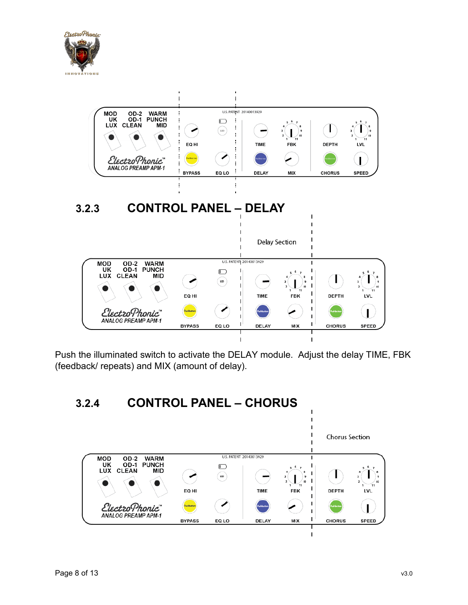



Push the illuminated switch to activate the DELAY module. Adjust the delay TIME, FBK (feedback/ repeats) and MIX (amount of delay).

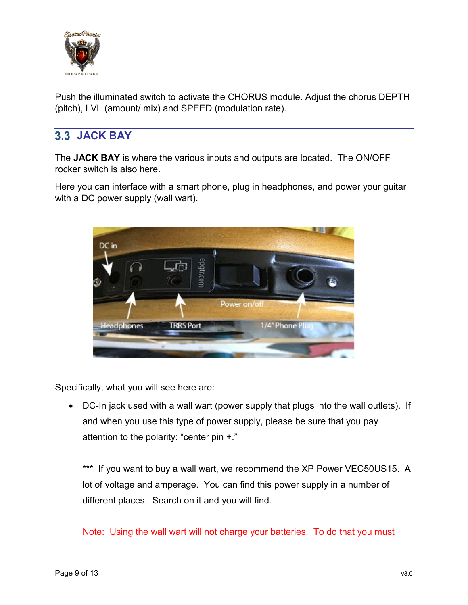

Push the illuminated switch to activate the CHORUS module. Adjust the chorus DEPTH (pitch), LVL (amount/ mix) and SPEED (modulation rate).

#### **JACK BAY**

The **JACK BAY** is where the various inputs and outputs are located. The ON/OFF rocker switch is also here.

Here you can interface with a smart phone, plug in headphones, and power your guitar with a DC power supply (wall wart).



Specifically, what you will see here are:

• DC-In jack used with a wall wart (power supply that plugs into the wall outlets). If and when you use this type of power supply, please be sure that you pay attention to the polarity: "center pin +."

\*\*\* If you want to buy a wall wart, we recommend the XP Power VEC50US15. A lot of voltage and amperage. You can find this power supply in a number of different places. Search on it and you will find.

Note: Using the wall wart will not charge your batteries. To do that you must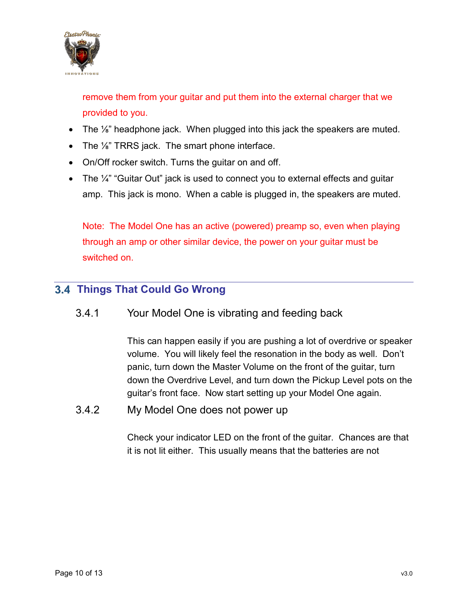

remove them from your guitar and put them into the external charger that we provided to you.

- The 1/<sub>8</sub>" headphone jack. When plugged into this jack the speakers are muted.
- The 1/<sub>8</sub>" TRRS jack. The smart phone interface.
- On/Off rocker switch. Turns the guitar on and off.
- The  $\frac{1}{4}$ " "Guitar Out" jack is used to connect you to external effects and guitar amp. This jack is mono. When a cable is plugged in, the speakers are muted.

Note: The Model One has an active (powered) preamp so, even when playing through an amp or other similar device, the power on your guitar must be switched on.

#### **Things That Could Go Wrong**

3.4.1 Your Model One is vibrating and feeding back

This can happen easily if you are pushing a lot of overdrive or speaker volume. You will likely feel the resonation in the body as well. Don't panic, turn down the Master Volume on the front of the guitar, turn down the Overdrive Level, and turn down the Pickup Level pots on the guitar's front face. Now start setting up your Model One again.

3.4.2 My Model One does not power up

Check your indicator LED on the front of the guitar. Chances are that it is not lit either. This usually means that the batteries are not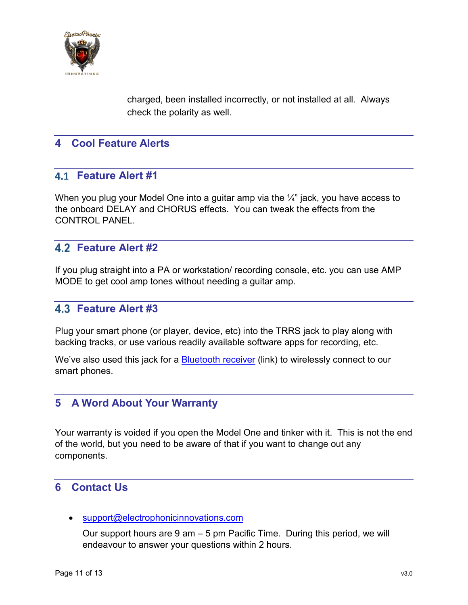

charged, been installed incorrectly, or not installed at all. Always check the polarity as well.

#### **4 Cool Feature Alerts**

#### **Feature Alert #1**

When you plug your Model One into a guitar amp via the  $\mathcal{V}$ " jack, you have access to the onboard DELAY and CHORUS effects. You can tweak the effects from the CONTROL PANEL.

#### **Feature Alert #2**

If you plug straight into a PA or workstation/ recording console, etc. you can use AMP MODE to get cool amp tones without needing a guitar amp.

#### **Feature Alert #3**

Plug your smart phone (or player, device, etc) into the TRRS jack to play along with backing tracks, or use various readily available software apps for recording, etc.

We've also used this jack for a [Bluetooth receiver](https://www.amazon.com/KOKKIA-iTRANSCEIVER-Bluetooth-Transceiver-Transmitter/dp/B00IQY5XKO) (link) to wirelessly connect to our smart phones.

#### **5 A Word About Your Warranty**

Your warranty is voided if you open the Model One and tinker with it. This is not the end of the world, but you need to be aware of that if you want to change out any components.

#### **6 Contact Us**

• [support@electrophonicinnovations.com](mailto:support@electrophonicinnovations.com?subject=A%20support%20question)

Our support hours are 9 am – 5 pm Pacific Time. During this period, we will endeavour to answer your questions within 2 hours.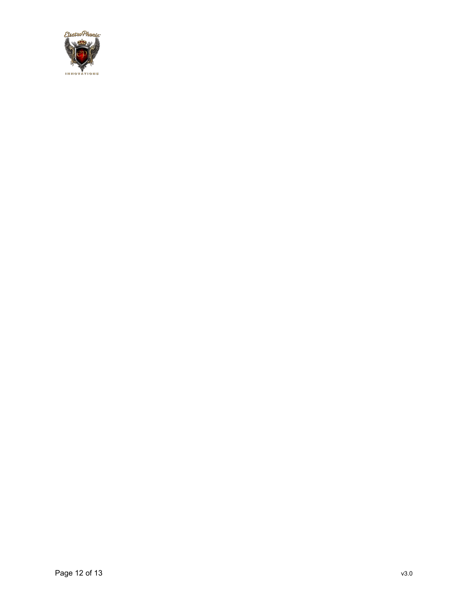